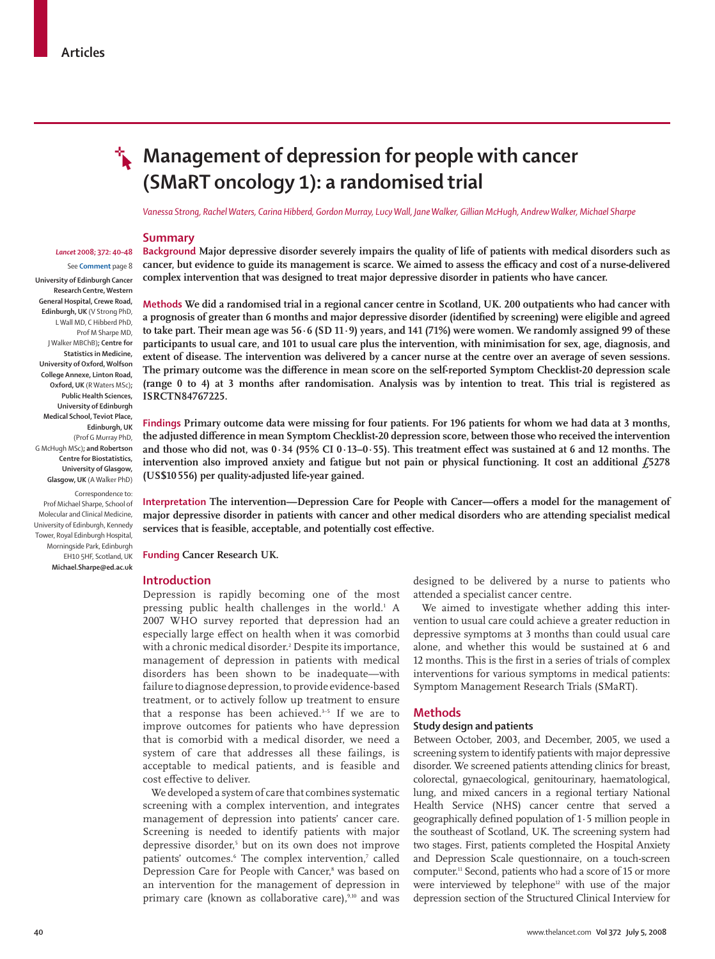# **Management of depression for people with cancer (SMaRT oncology 1): a randomised trial**

*Vanessa Strong, Rachel Waters, Carina Hibberd, Gordon Murray, Lucy Wall, Jane Walker, Gillian McHugh, Andrew Walker, Michael Sharpe*

#### **Summary**

*Lancet* **2008; 372: 40–48** See **Comment** page 8

**University of Edinburgh Cancer Research Centre, Western General Hospital, Crewe Road, Edinburgh, UK** (V Strong PhD, L Wall MD, C Hibberd PhD, Prof M Sharpe MD, J Walker MBChB)**; Centre for Statistics in Medicine, University of Oxford, Wolfson College Annexe, Linton Road, Oxford, UK** (R Waters MSc)**; Public Health Sciences, University of Edinburgh Medical School, Teviot Place, Edinburgh, UK** (Prof G Murray PhD, G McHugh MSc)**; and Robertson Centre for Biostatistics, University of Glasgow,** 

Correspondence to: Prof Michael Sharpe, School of Molecular and Clinical Medicine, University of Edinburgh, Kennedy Tower, Royal Edinburgh Hospital, Morningside Park, Edinburgh EH10 5HF, Scotland, UK **Michael.Sharpe@ed.ac.uk**

**Glasgow, UK** (A Walker PhD)

**Background Major depressive disorder severely impairs the quality of life of patients with medical disorders such as**  cancer, but evidence to guide its management is scarce. We aimed to assess the efficacy and cost of a nurse-delivered **complex intervention that was designed to treat major depressive disorder in patients who have cancer.**

**Methods We did a randomised trial in a regional cancer centre in Scotland, UK. 200 outpatients who had cancer with**  a prognosis of greater than 6 months and major depressive disorder (identified by screening) were eligible and agreed **to take part. Their mean age was 56·6 (SD 11·9) years, and 141 (71%) were women. We randomly assigned 99 of these participants to usual care, and 101 to usual care plus the intervention, with minimisation for sex, age, diagnosis, and extent of disease. The intervention was delivered by a cancer nurse at the centre over an average of seven sessions.**  The primary outcome was the difference in mean score on the self-reported Symptom Checklist-20 depression scale **(range 0 to 4) at 3 months after randomisation. Analysis was by intention to treat. This trial is registered as ISRCTN84767225.**

**Findings Primary outcome data were missing for four patients. For 196 patients for whom we had data at 3 months,**  the adjusted difference in mean Symptom Checklist-20 depression score, between those who received the intervention and those who did not, was 0·34 (95% CI 0·13-0·55). This treatment effect was sustained at 6 and 12 months. The **intervention also improved anxiety and fatigue but not pain or physical functioning. It cost an additional £5278 (US\$10 556) per quality-adjusted life-year gained.**

Interpretation The intervention—Depression Care for People with Cancer—offers a model for the management of **major depressive disorder in patients with cancer and other medical disorders who are attending specialist medical**  services that is feasible, acceptable, and potentially cost effective.

**Funding Cancer Research UK.**

## **Introduction**

Depression is rapidly becoming one of the most pressing public health challenges in the world.<sup>1</sup> A 2007 WHO survey reported that depression had an especially large effect on health when it was comorbid with a chronic medical disorder.2 Despite its importance, management of depression in patients with medical disorders has been shown to be inadequate—with failure to diagnose depression, to provide evidence-based treatment, or to actively follow up treatment to ensure that a response has been achieved. $3-5$  If we are to improve outcomes for patients who have depression that is comorbid with a medical disorder, we need a system of care that addresses all these failings, is acceptable to medical patients, and is feasible and cost effective to deliver.

We developed a system of care that combines systematic screening with a complex intervention, and integrates management of depression into patients' cancer care. Screening is needed to identify patients with major depressive disorder,5 but on its own does not improve patients' outcomes.<sup>6</sup> The complex intervention,<sup>7</sup> called Depression Care for People with Cancer,<sup>8</sup> was based on an intervention for the management of depression in primary care (known as collaborative care), $9,10$  and was

designed to be delivered by a nurse to patients who attended a specialist cancer centre.

We aimed to investigate whether adding this intervention to usual care could achieve a greater reduction in depressive symptoms at 3 months than could usual care alone, and whether this would be sustained at 6 and 12 months. This is the first in a series of trials of complex interventions for various symptoms in medical patients: Symptom Management Research Trials (SMaRT).

### **Methods**

#### **Study design and patients**

Between October, 2003, and December, 2005, we used a screening system to identify patients with major depressive disorder. We screened patients attending clinics for breast, colorectal, gynaecological, genitourinary, haematological, lung, and mixed cancers in a regional tertiary National Health Service (NHS) cancer centre that served a geographically defined population of  $1.5$  million people in the southeast of Scotland, UK. The screening system had two stages. First, patients completed the Hospital Anxiety and Depression Scale questionnaire, on a touch-screen computer.11 Second, patients who had a score of 15 or more were interviewed by telephone<sup>12</sup> with use of the major depression section of the Structured Clinical Interview for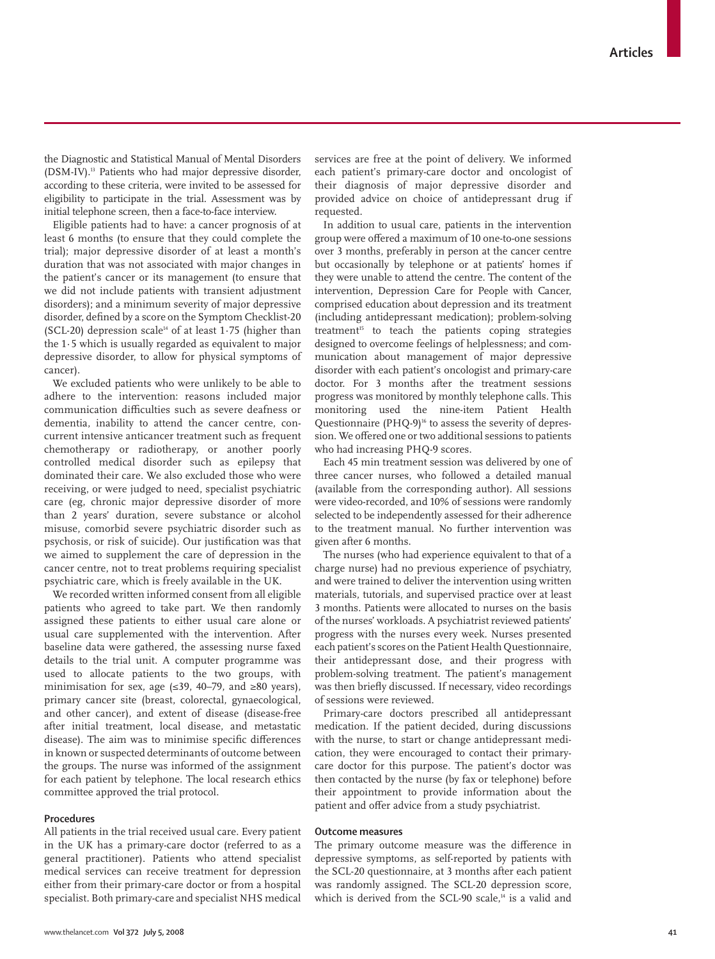the Diagnostic and Statistical Manual of Mental Disorders (DSM-IV).13 Patients who had major depressive disorder, according to these criteria, were invited to be assessed for eligibility to participate in the trial. Assessment was by initial telephone screen, then a face-to-face interview.

Eligible patients had to have: a cancer prognosis of at least 6 months (to ensure that they could complete the trial); major depressive disorder of at least a month's duration that was not associated with major changes in the patient's cancer or its management (to ensure that we did not include patients with transient adjustment disorders); and a minimum severity of major depressive disorder, defined by a score on the Symptom Checklist-20 (SCL-20) depression scale<sup>14</sup> of at least  $1.75$  (higher than the 1·5 which is usually regarded as equivalent to major depressive disorder, to allow for physical symptoms of cancer).

We excluded patients who were unlikely to be able to adhere to the intervention: reasons included major communication difficulties such as severe deafness or dementia, inability to attend the cancer centre, concurrent intensive anticancer treatment such as frequent chemotherapy or radiotherapy, or another poorly controlled medical disorder such as epilepsy that dominated their care. We also excluded those who were receiving, or were judged to need, specialist psychiatric care (eg, chronic major depressive disorder of more than 2 years' duration, severe substance or alcohol misuse, comorbid severe psychiatric disorder such as psychosis, or risk of suicide). Our justification was that we aimed to supplement the care of depression in the cancer centre, not to treat problems requiring specialist psychiatric care, which is freely available in the UK.

We recorded written informed consent from all eligible patients who agreed to take part. We then randomly assigned these patients to either usual care alone or usual care supplemented with the intervention. After baseline data were gathered, the assessing nurse faxed details to the trial unit. A computer programme was used to allocate patients to the two groups, with minimisation for sex, age  $(\leq 39, 40 - 79,$  and  $\geq 80$  years), primary cancer site (breast, colorectal, gynaecological, and other cancer), and extent of disease (disease-free after initial treatment, local disease, and metastatic disease). The aim was to minimise specific differences in known or suspected determinants of outcome between the groups. The nurse was informed of the assignment for each patient by telephone. The local research ethics committee approved the trial protocol.

### **Procedures**

All patients in the trial received usual care. Every patient in the UK has a primary-care doctor (referred to as a general practitioner). Patients who attend specialist medical services can receive treatment for depression either from their primary-care doctor or from a hospital specialist. Both primary-care and specialist NHS medical services are free at the point of delivery. We informed each patient's primary-care doctor and oncologist of their diagnosis of major depressive disorder and provided advice on choice of antidepressant drug if requested.

In addition to usual care, patients in the intervention group were offered a maximum of 10 one-to-one sessions over 3 months, preferably in person at the cancer centre but occasionally by telephone or at patients' homes if they were unable to attend the centre. The content of the intervention, Depression Care for People with Cancer, comprised education about depression and its treatment (including antidepressant medication); problem-solving treatment<sup>15</sup> to teach the patients coping strategies designed to overcome feelings of helplessness; and communication about management of major depressive disorder with each patient's oncologist and primary-care doctor. For 3 months after the treatment sessions progress was monitored by monthly telephone calls. This monitoring used the nine-item Patient Health Questionnaire (PHQ-9)<sup>16</sup> to assess the severity of depression. We offered one or two additional sessions to patients who had increasing PHQ-9 scores.

Each 45 min treatment session was delivered by one of three cancer nurses, who followed a detailed manual (available from the corresponding author). All sessions were video-recorded, and 10% of sessions were randomly selected to be independently assessed for their adherence to the treatment manual. No further intervention was given after 6 months.

The nurses (who had experience equivalent to that of a charge nurse) had no previous experience of psychiatry, and were trained to deliver the intervention using written materials, tutorials, and supervised practice over at least 3 months. Patients were allocated to nurses on the basis of the nurses' workloads. A psychiatrist reviewed patients' progress with the nurses every week. Nurses presented each patient's scores on the Patient Health Questionnaire, their antidepressant dose, and their progress with problem-solving treatment. The patient's management was then briefly discussed. If necessary, video recordings of sessions were reviewed.

Primary-care doctors prescribed all antidepressant medication. If the patient decided, during discussions with the nurse, to start or change antidepressant medication, they were encouraged to contact their primarycare doctor for this purpose. The patient's doctor was then contacted by the nurse (by fax or telephone) before their appointment to provide information about the patient and offer advice from a study psychiatrist.

#### **Outcome measures**

The primary outcome measure was the difference in depressive symptoms, as self-reported by patients with the SCL-20 questionnaire, at 3 months after each patient was randomly assigned. The SCL-20 depression score, which is derived from the SCL-90 scale,<sup>14</sup> is a valid and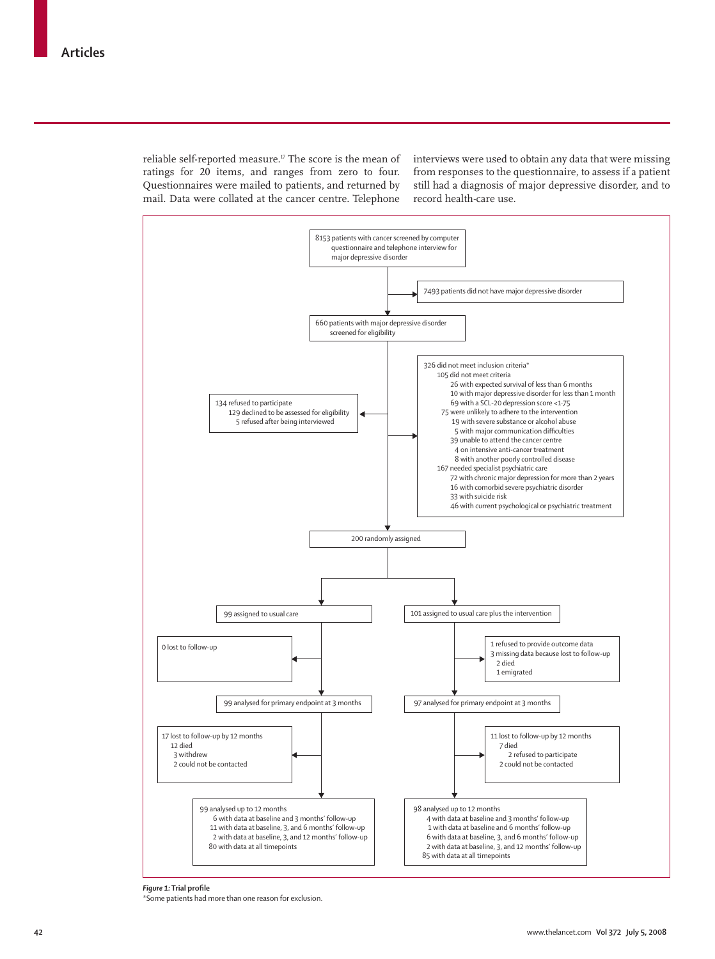reliable self-reported measure.<sup>17</sup> The score is the mean of ratings for 20 items, and ranges from zero to four. Questionnaires were mailed to patients, and returned by mail. Data were collated at the cancer centre. Telephone

interviews were used to obtain any data that were missing from responses to the questionnaire, to assess if a patient still had a diagnosis of major depressive disorder, and to record health-care use.



**Figure 1:** Trial profile

\*Some patients had more than one reason for exclusion.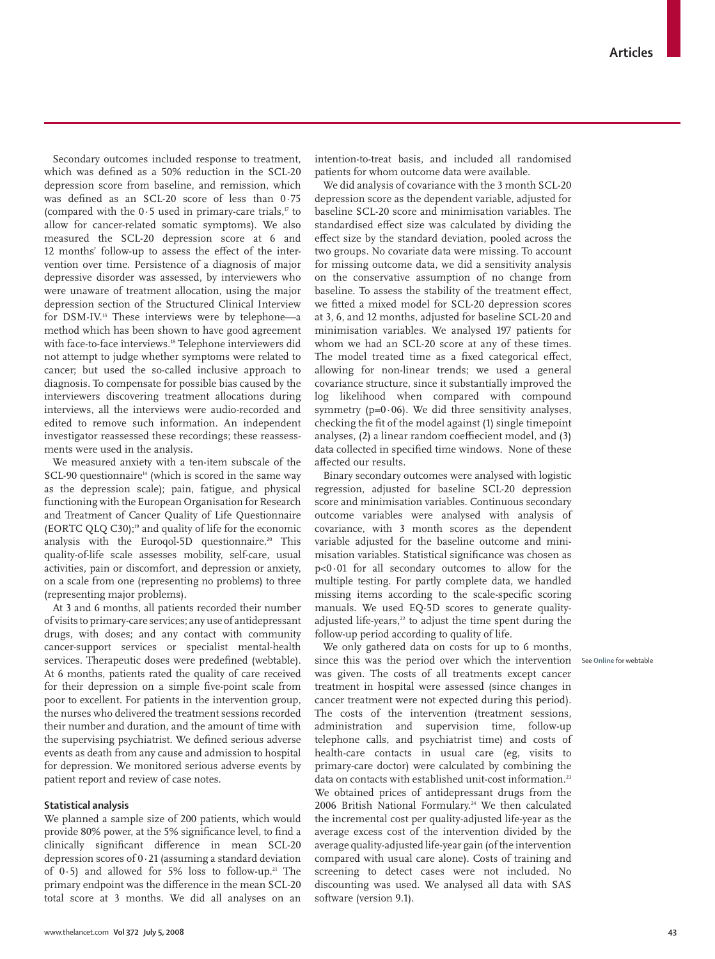Secondary outcomes included response to treatment, which was defined as a 50% reduction in the SCL-20 depression score from baseline, and remission, which was defined as an SCL-20 score of less than  $0.75$ (compared with the  $0.5$  used in primary-care trials,<sup>17</sup> to allow for cancer-related somatic symptoms). We also measured the SCL-20 depression score at 6 and 12 months' follow-up to assess the effect of the intervention over time. Persistence of a diagnosis of major depressive disorder was assessed, by interviewers who were unaware of treatment allocation, using the major depression section of the Structured Clinical Interview for DSM-IV.13 These interviews were by telephone—a method which has been shown to have good agreement with face-to-face interviews.<sup>18</sup> Telephone interviewers did not attempt to judge whether symptoms were related to cancer; but used the so-called inclusive approach to diagnosis. To compensate for possible bias caused by the interviewers discovering treatment allocations during interviews, all the interviews were audio-recorded and edited to remove such information. An independent investigator reassessed these recordings; these reassessments were used in the analysis.

We measured anxiety with a ten-item subscale of the SCL-90 questionnaire<sup>14</sup> (which is scored in the same way as the depression scale); pain, fatigue, and physical functioning with the European Organisation for Research and Treatment of Cancer Quality of Life Questionnaire (EORTC QLQ C30);<sup>19</sup> and quality of life for the economic analysis with the Euroqol-5D questionnaire.<sup>20</sup> This quality-of-life scale assesses mobility, self-care, usual activities, pain or discomfort, and depression or anxiety, on a scale from one (representing no problems) to three (representing major problems).

At 3 and 6 months, all patients recorded their number of visits to primary-care services; any use of antidepressant drugs, with doses; and any contact with community cancer-support services or specialist mental-health services. Therapeutic doses were predefined (webtable). At 6 months, patients rated the quality of care received for their depression on a simple five-point scale from poor to excellent. For patients in the intervention group, the nurses who delivered the treatment sessions recorded their number and duration, and the amount of time with the supervising psychiatrist. We defined serious adverse events as death from any cause and admission to hospital for depression. We monitored serious adverse events by patient report and review of case notes.

#### **Statistical analysis**

We planned a sample size of 200 patients, which would provide 80% power, at the 5% significance level, to find a clinically significant difference in mean SCL-20 depression scores of 0·21 (assuming a standard deviation of 0.5) and allowed for 5% loss to follow-up.<sup>21</sup> The primary endpoint was the difference in the mean SCL-20 total score at 3 months. We did all analyses on an intention-to-treat basis, and included all randomised patients for whom outcome data were available.

We did analysis of covariance with the 3 month SCL-20 depression score as the dependent variable, adjusted for baseline SCL-20 score and minimisation variables. The standardised effect size was calculated by dividing the effect size by the standard deviation, pooled across the two groups. No covariate data were missing. To account for missing outcome data, we did a sensitivity analysis on the conservative assumption of no change from baseline. To assess the stability of the treatment effect, we fitted a mixed model for SCL-20 depression scores at 3, 6, and 12 months, adjusted for baseline SCL-20 and minimisation variables. We analysed 197 patients for whom we had an SCL-20 score at any of these times. The model treated time as a fixed categorical effect, allowing for non-linear trends; we used a general covariance structure, since it substantially improved the log likelihood when compared with compound symmetry ( $p=0.06$ ). We did three sensitivity analyses, checking the fit of the model against (1) single timepoint analyses, (2) a linear random coeffiecient model, and (3) data collected in specified time windows. None of these affected our results.

Binary secondary outcomes were analysed with logistic regression, adjusted for baseline SCL-20 depression score and minimisation variables. Continuous secondary outcome variables were analysed with analysis of covariance, with 3 month scores as the dependent variable adjusted for the baseline outcome and minimisation variables. Statistical significance was chosen as  $p<0.01$  for all secondary outcomes to allow for the multiple testing. For partly complete data, we handled missing items according to the scale-specific scoring manuals. We used EQ-5D scores to generate qualityadjusted life-years, $22$  to adjust the time spent during the follow-up period according to quality of life.

We only gathered data on costs for up to 6 months, since this was the period over which the intervention See **Online** for webtablewas given. The costs of all treatments except cancer treatment in hospital were assessed (since changes in cancer treatment were not expected during this period). The costs of the intervention (treatment sessions, administration and supervision time, follow-up telephone calls, and psychiatrist time) and costs of health-care contacts in usual care (eg, visits to primary-care doctor) were calculated by combining the data on contacts with established unit-cost information.<sup>23</sup> We obtained prices of antidepressant drugs from the 2006 British National Formulary.<sup>24</sup> We then calculated the incremental cost per quality-adjusted life-year as the average excess cost of the intervention divided by the average quality-adjusted life-year gain (of the intervention compared with usual care alone). Costs of training and screening to detect cases were not included. No discounting was used. We analysed all data with SAS software (version 9.1).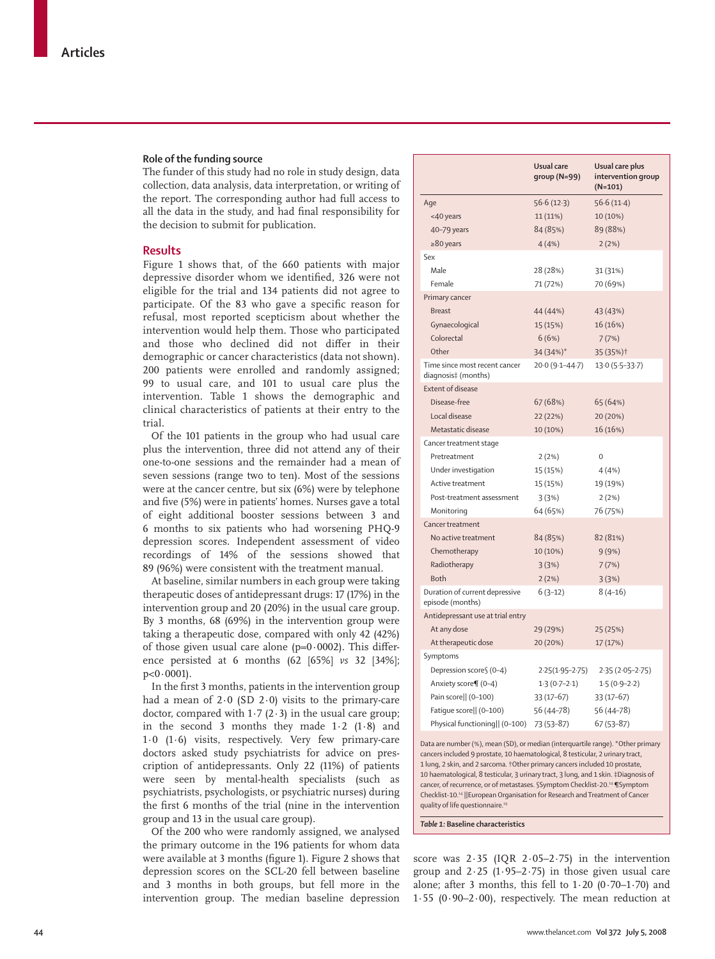#### **Role of the funding source**

The funder of this study had no role in study design, data collection, data analysis, data interpretation, or writing of the report. The corresponding author had full access to all the data in the study, and had final responsibility for the decision to submit for publication.

#### **Results**

Figure 1 shows that, of the 660 patients with major depressive disorder whom we identified, 326 were not eligible for the trial and 134 patients did not agree to participate. Of the 83 who gave a specific reason for refusal, most reported scepticism about whether the intervention would help them. Those who participated and those who declined did not differ in their demographic or cancer characteristics (data not shown). 200 patients were enrolled and randomly assigned; 99 to usual care, and 101 to usual care plus the intervention. Table 1 shows the demographic and clinical characteristics of patients at their entry to the trial.

Of the 101 patients in the group who had usual care plus the intervention, three did not attend any of their one-to-one sessions and the remainder had a mean of seven sessions (range two to ten). Most of the sessions were at the cancer centre, but six (6%) were by telephone and five (5%) were in patients' homes. Nurses gave a total of eight additional booster sessions between 3 and 6 months to six patients who had worsening PHQ-9 depression scores. Independent assessment of video recordings of 14% of the sessions showed that 89 (96%) were consistent with the treatment manual.

At baseline, similar numbers in each group were taking therapeutic doses of antidepressant drugs: 17 (17%) in the intervention group and 20 (20%) in the usual care group. By 3 months, 68 (69%) in the intervention group were taking a therapeutic dose, compared with only 42 (42%) of those given usual care alone ( $p=0.0002$ ). This difference persisted at 6 months (62 [65%] *vs* 32 [34%]; p<0·0001).

In the first 3 months, patients in the intervention group had a mean of 2·0 (SD 2·0) visits to the primary-care doctor, compared with  $1.7$  ( $2.3$ ) in the usual care group; in the second 3 months they made 1·2 (1·8) and 1·0 (1·6) visits, respectively. Very few primary-care doctors asked study psychiatrists for advice on prescription of antidepressants. Only 22 (11%) of patients were seen by mental-health specialists (such as psychiatrists, psychologists, or psychiatric nurses) during the first 6 months of the trial (nine in the intervention group and 13 in the usual care group).

Of the 200 who were randomly assigned, we analysed the primary outcome in the 196 patients for whom data were available at 3 months (figure 1). Figure 2 shows that depression scores on the SCL-20 fell between baseline and 3 months in both groups, but fell more in the intervention group. The median baseline depression

|                                                                                                                                                                   | <b>Usual care</b><br>group (N=99) | Usual care plus<br>intervention group<br>$(N=101)$ |  |  |
|-------------------------------------------------------------------------------------------------------------------------------------------------------------------|-----------------------------------|----------------------------------------------------|--|--|
| Age                                                                                                                                                               | 56.6(12.3)                        | 56.6(11.4)                                         |  |  |
| <40 years                                                                                                                                                         | 11 (11%)                          | 10 (10%)                                           |  |  |
| 40-79 years                                                                                                                                                       | 84 (85%)                          | 89 (88%)                                           |  |  |
| $\geq 80$ years                                                                                                                                                   | 4(4% )                            | 2(2%)                                              |  |  |
| Sex                                                                                                                                                               |                                   |                                                    |  |  |
| Male                                                                                                                                                              | 28 (28%)                          | 31 (31%)                                           |  |  |
| Female                                                                                                                                                            | 71 (72%)                          | 70 (69%)                                           |  |  |
| Primary cancer                                                                                                                                                    |                                   |                                                    |  |  |
| <b>Breast</b>                                                                                                                                                     | 44 (44%)                          | 43 (43%)                                           |  |  |
| Gynaecological                                                                                                                                                    | 15 (15%)                          | 16 (16%)                                           |  |  |
| Colorectal                                                                                                                                                        | 6(6%)                             | 7(7%)                                              |  |  |
| Other                                                                                                                                                             | 34 (34%)*                         | 35 (35%) <sup>+</sup>                              |  |  |
| Time since most recent cancer<br>diagnosis‡ (months)                                                                                                              | $20.0(9.1 - 44.7)$                | $13.0 (5.5 - 33.7)$                                |  |  |
| <b>Extent of disease</b>                                                                                                                                          |                                   |                                                    |  |  |
| Disease-free                                                                                                                                                      | 67 (68%)                          | 65 (64%)                                           |  |  |
| Local disease                                                                                                                                                     | 22 (22%)                          | 20 (20%)                                           |  |  |
| Metastatic disease                                                                                                                                                | 10 (10%)                          | 16 (16%)                                           |  |  |
| Cancer treatment stage                                                                                                                                            |                                   |                                                    |  |  |
| Pretreatment                                                                                                                                                      | 2(2%)                             | 0                                                  |  |  |
| Under investigation                                                                                                                                               | 15 (15%)                          | 4 (4%)                                             |  |  |
| Active treatment                                                                                                                                                  | 15 (15%)                          | 19 (19%)                                           |  |  |
| Post-treatment assessment                                                                                                                                         | 3(3%)                             | 2(2%)                                              |  |  |
| Monitoring                                                                                                                                                        | 64 (65%)                          | 76 (75%)                                           |  |  |
| Cancer treatment                                                                                                                                                  |                                   |                                                    |  |  |
| No active treatment                                                                                                                                               | 84 (85%)                          | 82 (81%)                                           |  |  |
| Chemotherapy                                                                                                                                                      | 10 (10%)                          | 9(9%)                                              |  |  |
| Radiotherapy                                                                                                                                                      | 3(3%)                             | 7(7%)                                              |  |  |
| Both                                                                                                                                                              | 2(2%)                             | 3(3%)                                              |  |  |
| Duration of current depressive<br>episode (months)                                                                                                                | $6(3-12)$                         | $8(4-16)$                                          |  |  |
| Antidepressant use at trial entry                                                                                                                                 |                                   |                                                    |  |  |
| At any dose                                                                                                                                                       | 29 (29%)                          | 25 (25%)                                           |  |  |
| At therapeutic dose                                                                                                                                               | 20 (20%)                          | 17 (17%)                                           |  |  |
| Symptoms                                                                                                                                                          |                                   |                                                    |  |  |
| Depression score§ (0-4)                                                                                                                                           | $2.25(1.95 - 2.75)$               | $2.35(2.05 - 2.75)$                                |  |  |
| Anxiety score¶ (0-4)                                                                                                                                              | $1.3(0.7-2.1)$                    | $1.5(0.9-2.2)$                                     |  |  |
| Pain score   (0-100)                                                                                                                                              | $33(17-67)$                       | 33 (17-67)                                         |  |  |
| Fatique score   (0-100)                                                                                                                                           | 56 (44-78)                        | 56 (44-78)                                         |  |  |
| Physical functioning   (0-100) 73 (53-87)                                                                                                                         |                                   | 67 (53-87)                                         |  |  |
| Data are number (%), mean (SD), or median (interquartile range). *Other primary<br>cancers included 9 prostate, 10 haematological, 8 testicular, 2 urinary tract, |                                   |                                                    |  |  |

1 lung, 2 skin, and 2 sarcoma. †Other primary cancers included 10 prostate, 10 haematological, 8 testicular, 3 urinary tract, 3 lung, and 1 skin. ‡Diagnosis of cancer, of recurrence, or of metastases. §Symptom Checklist-20.14 ¶Symptom Checklist-10.14 ||European Organisation for Research and Treatment of Cancer quality of life questionnaire.<sup>1</sup>

*Table 1:* **Baseline characteristics**

score was  $2.35$  (IQR  $2.05-2.75$ ) in the intervention group and  $2.25$  (1.95–2.75) in those given usual care alone; after 3 months, this fell to  $1.20$  (0 $.70-1.70$ ) and 1.55 (0.90–2.00), respectively. The mean reduction at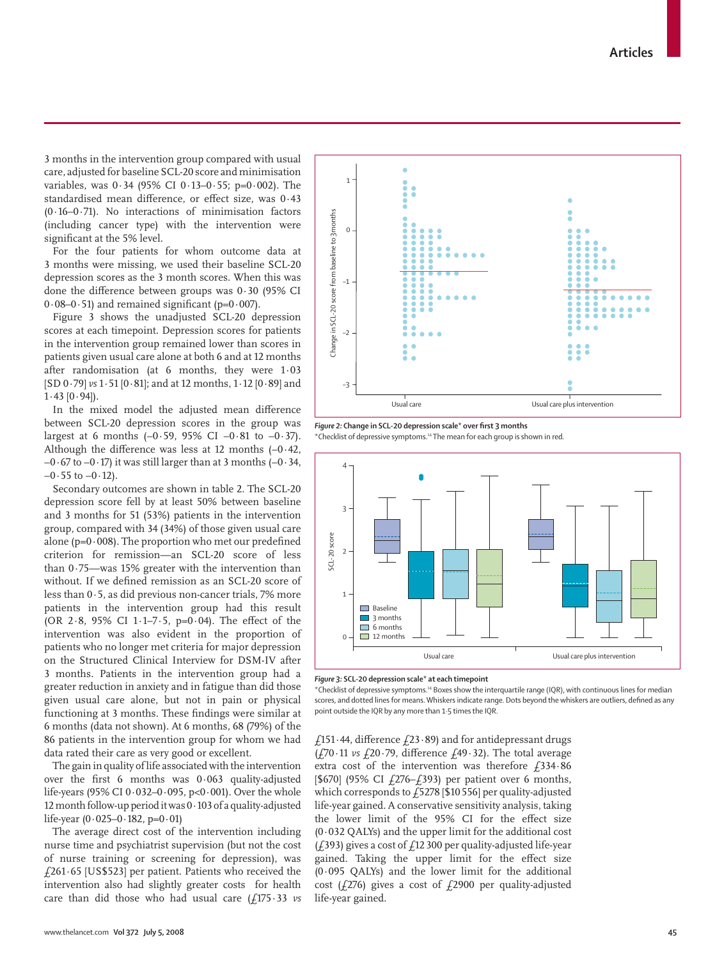3 months in the intervention group compared with usual care, adjusted for baseline SCL-20 score and minimisation variables, was  $0.34$  (95% CI  $0.13-0.55$ ; p=0.002). The standardised mean difference, or effect size, was 0.43  $(0.16-0.71)$ . No interactions of minimisation factors (including cancer type) with the intervention were significant at the 5% level.

For the four patients for whom outcome data at 3 months were missing, we used their baseline SCL-20 depression scores as the 3 month scores. When this was done the difference between groups was  $0.30$  (95% CI  $0.08-0.51$ ) and remained significant (p= $0.007$ ).

Figure 3 shows the unadjusted SCL-20 depression scores at each timepoint. Depression scores for patients in the intervention group remained lower than scores in patients given usual care alone at both 6 and at 12 months after randomisation (at 6 months, they were 1·03 [SD 0·79] *vs* 1·51 [0·81]; and at 12 months, 1·12 [0·89] and  $1.43$  [ $0.94$ ]).

In the mixed model the adjusted mean difference between SCL-20 depression scores in the group was largest at 6 months (−0·59, 95% CI −0·81 to −0·37). Although the difference was less at 12 months  $(-0.42,$  $-0.67$  to  $-0.17$ ) it was still larger than at 3 months ( $-0.34$ ,  $-0.55$  to  $-0.12$ ).

Secondary outcomes are shown in table 2. The SCL-20 depression score fell by at least 50% between baseline and 3 months for 51 (53%) patients in the intervention group, compared with 34 (34%) of those given usual care alone ( $p=0.008$ ). The proportion who met our predefined criterion for remission—an SCL-20 score of less than 0·75—was 15% greater with the intervention than without. If we defined remission as an SCL-20 score of less than 0·5, as did previous non-cancer trials, 7% more patients in the intervention group had this result (OR 2.8, 95% CI 1.1-7.5, p=0.04). The effect of the intervention was also evident in the proportion of patients who no longer met criteria for major depression on the Structured Clinical Interview for DSM-IV after 3 months. Patients in the intervention group had a greater reduction in anxiety and in fatigue than did those given usual care alone, but not in pain or physical functioning at 3 months. These findings were similar at 6 months (data not shown). At 6 months, 68 (79%) of the 86 patients in the intervention group for whom we had data rated their care as very good or excellent.

The gain in quality of life associated with the intervention over the first 6 months was  $0.063$  quality-adjusted life-years (95% CI 0·032–0·095, p<0·001). Over the whole 12 month follow-up period it was 0·103 of a quality-adjusted life-year  $(0.025-0.182, p=0.01)$ 

The average direct cost of the intervention including nurse time and psychiatrist supervision (but not the cost of nurse training or screening for depression), was £261·65 [US\$523] per patient. Patients who received the intervention also had slightly greater costs for health care than did those who had usual care (£175·33 *vs*



*Figure 2:* Change in SCL-20 depression scale\* over first 3 months

\*Checklist of depressive symptoms.14 The mean for each group is shown in red.





\*Checklist of depressive symptoms.14 Boxes show the interquartile range (IQR), with continuous lines for median scores, and dotted lines for means. Whiskers indicate range. Dots beyond the whiskers are outliers, defined as any point outside the IQR by any more than 1·5 times the IQR.

£151·44, difference £23·89) and for antidepressant drugs  $(f70.11 \text{ vs } f20.79, \text{ difference } f49.32)$ . The total average extra cost of the intervention was therefore  $f334.86$ [\$670] (95% CI  $f(276-f(393))$  per patient over 6 months, which corresponds to £5278 [\$10 556] per quality-adjusted life-year gained. A conservative sensitivity analysis, taking the lower limit of the 95% CI for the effect size  $(0.032 \text{ OALYs})$  and the upper limit for the additional cost ( $£393$ ) gives a cost of  $£12300$  per quality-adjusted life-year gained. Taking the upper limit for the effect size  $(0.095 \text{ OALYs})$  and the lower limit for the additional cost ( $\ell$ 276) gives a cost of  $\ell$ 2900 per quality-adjusted life-year gained.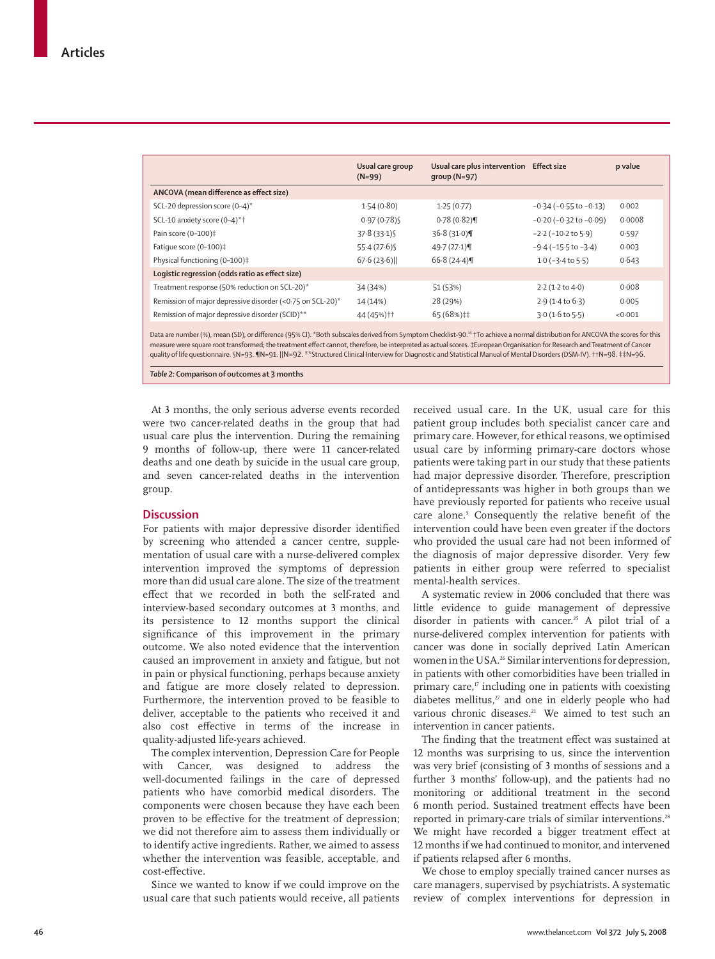|                                                           | Usual care group<br>$(N=99)$ | Usual care plus intervention Effect size<br>$qroup(N=97)$ |                                | p value |
|-----------------------------------------------------------|------------------------------|-----------------------------------------------------------|--------------------------------|---------|
| ANCOVA (mean difference as effect size)                   |                              |                                                           |                                |         |
| SCL-20 depression score (0-4)*                            | 1.54(0.80)                   | 1.25(0.77)                                                | $-0.34$ ( $-0.55$ to $-0.13$ ) | 0.002   |
| SCL-10 anxiety score (0-4)*+                              | 0.97(0.78)                   | 0.78(0.82)                                                | $-0.20$ ( $-0.32$ to $-0.09$ ) | 0.0008  |
| Pain score (0-100)‡                                       | 37.8(33.1)                   | 36.8 (31.0)                                               | $-2.2$ ( $-10.2$ to $5.9$ )    | 0.597   |
| Fatique score (0-100)‡                                    | 55.4(27.6)                   | 49.7 $(27.1)$                                             | $-9.4$ ( $-15.5$ to $-3.4$ )   | 0.003   |
| Physical functioning (0-100)‡                             | 67.6(23.6)                   | 66.8(24.4)                                                | $1.0$ ( $-3.4$ to $5.5$ )      | 0.643   |
| Logistic regression (odds ratio as effect size)           |                              |                                                           |                                |         |
| Treatment response (50% reduction on SCL-20)*             | 34 (34%)                     | 51 (53%)                                                  | $2.2(1.2 \text{ to } 4.0)$     | 0.008   |
| Remission of major depressive disorder (<0.75 on SCL-20)* | 14 (14%)                     | 28 (29%)                                                  | 2.9(1.4 to 6.3)                | 0.005   |
| Remission of major depressive disorder (SCID)**           | 44 (45%) † †                 | 65 (68%) ‡‡                                               | $3.0(1.6 \text{ to } 5.5)$     | < 0.001 |

Data are number (%), mean (SD), or difference (95% CI). \*Both subscales derived from Symptom Checklist-90.<sup>34</sup> †To achieve a normal distribution for ANCOVA the scores for this measure were square root transformed; the treatment effect cannot, therefore, be interpreted as actual scores. ‡European Organisation for Research and Treatment of Cancer quality of life questionnaire. §N=93. ¶N=91. ||N=92. \*\*Structured Clinical Interview for Diagnostic and Statistical Manual of Mental Disorders (DSM-IV). ††N=98. ‡‡N=96.

*Table 2:* **Comparison of outcomes at 3 months**

At 3 months, the only serious adverse events recorded were two cancer-related deaths in the group that had usual care plus the intervention. During the remaining 9 months of follow-up, there were 11 cancer-related deaths and one death by suicide in the usual care group, and seven cancer-related deaths in the intervention group.

### **Discussion**

For patients with major depressive disorder identified by screening who attended a cancer centre, supplementation of usual care with a nurse-delivered complex intervention improved the symptoms of depression more than did usual care alone. The size of the treatment effect that we recorded in both the self-rated and interview-based secondary outcomes at 3 months, and its persistence to 12 months support the clinical significance of this improvement in the primary outcome. We also noted evidence that the intervention caused an improvement in anxiety and fatigue, but not in pain or physical functioning, perhaps because anxiety and fatigue are more closely related to depression. Furthermore, the intervention proved to be feasible to deliver, acceptable to the patients who received it and also cost effective in terms of the increase in quality-adjusted life-years achieved.

The complex intervention, Depression Care for People with Cancer, was designed to address the well-documented failings in the care of depressed patients who have comorbid medical disorders. The components were chosen because they have each been proven to be effective for the treatment of depression; we did not therefore aim to assess them individually or to identify active ingredients. Rather, we aimed to assess whether the intervention was feasible, acceptable, and cost-effective.

Since we wanted to know if we could improve on the usual care that such patients would receive, all patients received usual care. In the UK, usual care for this patient group includes both specialist cancer care and primary care. However, for ethical reasons, we optimised usual care by informing primary-care doctors whose patients were taking part in our study that these patients had major depressive disorder. Therefore, prescription of antidepressants was higher in both groups than we have previously reported for patients who receive usual care alone.<sup>5</sup> Consequently the relative benefit of the intervention could have been even greater if the doctors who provided the usual care had not been informed of the diagnosis of major depressive disorder. Very few patients in either group were referred to specialist mental-health services.

A systematic review in 2006 concluded that there was little evidence to guide management of depressive disorder in patients with cancer.<sup>25</sup> A pilot trial of a nurse-delivered complex intervention for patients with cancer was done in socially deprived Latin American women in the USA.26 Similar interventions for depression, in patients with other comorbidities have been trialled in primary care, $\mu$ <sup>2</sup> including one in patients with coexisting diabetes mellitus, $x^2$  and one in elderly people who had various chronic diseases.<sup>21</sup> We aimed to test such an intervention in cancer patients.

The finding that the treatment effect was sustained at 12 months was surprising to us, since the intervention was very brief (consisting of 3 months of sessions and a further 3 months' follow-up), and the patients had no monitoring or additional treatment in the second 6 month period. Sustained treatment effects have been reported in primary-care trials of similar interventions.<sup>28</sup> We might have recorded a bigger treatment effect at 12 months if we had continued to monitor, and intervened if patients relapsed after 6 months.

We chose to employ specially trained cancer nurses as care managers, supervised by psychiatrists. A systematic review of complex interventions for depression in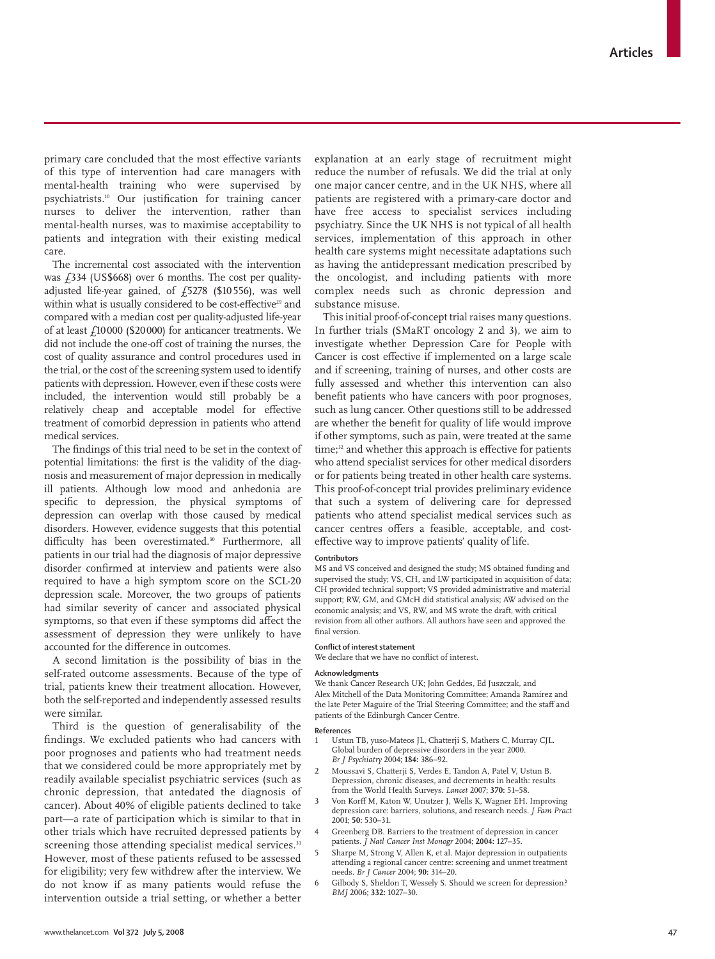primary care concluded that the most effective variants of this type of intervention had care managers with mental-health training who were supervised by psychiatrists.<sup>10</sup> Our justification for training cancer nurses to deliver the intervention, rather than mental-health nurses, was to maximise acceptability to patients and integration with their existing medical care.

The incremental cost associated with the intervention was  $\text{\emph{f}}334$  (US\$668) over 6 months. The cost per qualityadjusted life-year gained, of  $f$ 5278 (\$10556), was well within what is usually considered to be cost-effective<sup>29</sup> and compared with a median cost per quality-adjusted life-year of at least  $f10000$  (\$20000) for anticancer treatments. We did not include the one-off cost of training the nurses, the cost of quality assurance and control procedures used in the trial, or the cost of the screening system used to identify patients with depression. However, even if these costs were included, the intervention would still probably be a relatively cheap and acceptable model for effective treatment of comorbid depression in patients who attend medical services.

The findings of this trial need to be set in the context of potential limitations: the first is the validity of the diagnosis and measurement of major depression in medically ill patients. Although low mood and anhedonia are specific to depression, the physical symptoms of depression can overlap with those caused by medical disorders. However, evidence suggests that this potential difficulty has been overestimated.<sup>30</sup> Furthermore, all patients in our trial had the diagnosis of major depressive disorder confirmed at interview and patients were also required to have a high symptom score on the SCL-20 depression scale. Moreover, the two groups of patients had similar severity of cancer and associated physical symptoms, so that even if these symptoms did affect the assessment of depression they were unlikely to have accounted for the difference in outcomes.

A second limitation is the possibility of bias in the self-rated outcome assessments. Because of the type of trial, patients knew their treatment allocation. However, both the self-reported and independently assessed results were similar.

Third is the question of generalisability of the findings. We excluded patients who had cancers with poor prognoses and patients who had treatment needs that we considered could be more appropriately met by readily available specialist psychiatric services (such as chronic depression, that antedated the diagnosis of cancer). About 40% of eligible patients declined to take part—a rate of participation which is similar to that in other trials which have recruited depressed patients by screening those attending specialist medical services.<sup>31</sup> However, most of these patients refused to be assessed for eligibility; very few withdrew after the interview. We do not know if as many patients would refuse the intervention outside a trial setting, or whether a better explanation at an early stage of recruitment might reduce the number of refusals. We did the trial at only one major cancer centre, and in the UK NHS, where all patients are registered with a primary-care doctor and have free access to specialist services including psychiatry. Since the UK NHS is not typical of all health services, implementation of this approach in other health care systems might necessitate adaptations such as having the antidepressant medication prescribed by the oncologist, and including patients with more complex needs such as chronic depression and substance misuse.

This initial proof-of-concept trial raises many questions. In further trials (SMaRT oncology 2 and 3), we aim to investigate whether Depression Care for People with Cancer is cost effective if implemented on a large scale and if screening, training of nurses, and other costs are fully assessed and whether this intervention can also benefit patients who have cancers with poor prognoses, such as lung cancer. Other questions still to be addressed are whether the benefit for quality of life would improve if other symptoms, such as pain, were treated at the same time;<sup>32</sup> and whether this approach is effective for patients who attend specialist services for other medical disorders or for patients being treated in other health care systems. This proof-of-concept trial provides preliminary evidence that such a system of delivering care for depressed patients who attend specialist medical services such as cancer centres offers a feasible, acceptable, and costeffective way to improve patients' quality of life.

#### **Contributors**

MS and VS conceived and designed the study; MS obtained funding and supervised the study; VS, CH, and LW participated in acquisition of data; CH provided technical support; VS provided administrative and material support; RW, GM, and GMcH did statistical analysis; AW advised on the economic analysis; and VS, RW, and MS wrote the draft, with critical revision from all other authors. All authors have seen and approved the final version.

#### **Confl ict of interest statement**

We declare that we have no conflict of interest.

#### **Acknowledgments**

We thank Cancer Research UK; John Geddes, Ed Juszczak, and Alex Mitchell of the Data Monitoring Committee; Amanda Ramirez and the late Peter Maguire of the Trial Steering Committee; and the staff and patients of the Edinburgh Cancer Centre.

#### **References**

- Ustun TB, yuso-Mateos JL, Chatterji S, Mathers C, Murray CJL. Global burden of depressive disorders in the year 2000. *Br J Psychiatry* 2004; **184:** 386–92.
- 2 Moussavi S, Chatterji S, Verdes E, Tandon A, Patel V, Ustun B. Depression, chronic diseases, and decrements in health: results from the World Health Surveys. *Lancet* 2007; **370:** 51–58.
- 3 Von Korff M, Katon W, Unutzer J, Wells K, Wagner EH. Improving depression care: barriers, solutions, and research needs. *J Fam Pract* 2001; **50:** 530–31.
- 4 Greenberg DB. Barriers to the treatment of depression in cancer patients. *J Natl Cancer Inst Monogr* 2004; **2004:** 127–35.
- 5 Sharpe M, Strong V, Allen K, et al. Major depression in outpatients attending a regional cancer centre: screening and unmet treatment needs. *Br J Cancer* 2004; **90:** 314–20.
- 6 Gilbody S, Sheldon T, Wessely S. Should we screen for depression? *BMJ* 2006; **332:** 1027–30.